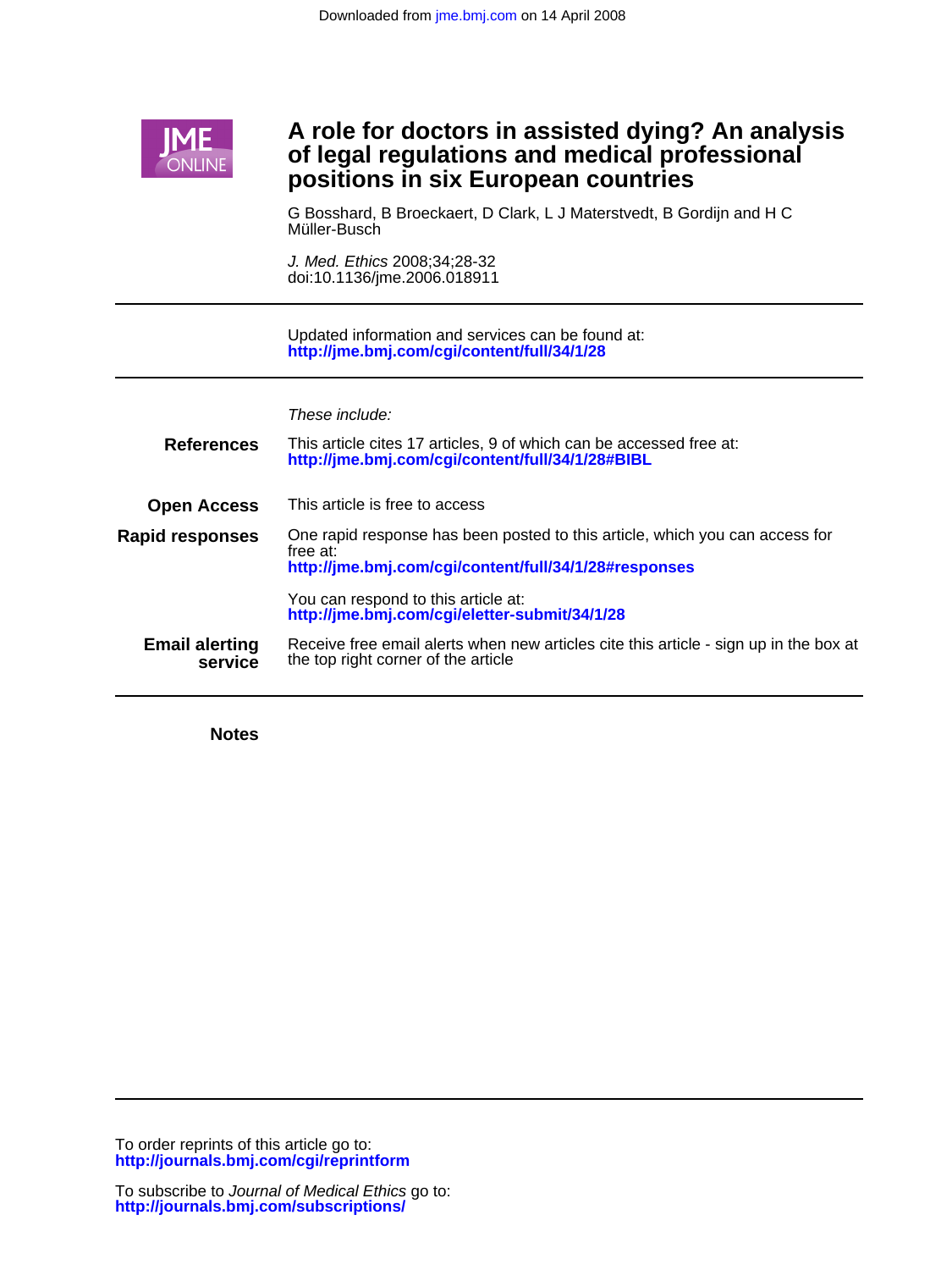

# Ī **positions in six European countries of legal regulations and medical professional A role for doctors in assisted dying? An analysis**

Müller-Busch G Bosshard, B Broeckaert, D Clark, L J Materstvedt, B Gordijn and H C

doi:10.1136/jme.2006.018911 J. Med. Ethics 2008;34;28-32

**<http://jme.bmj.com/cgi/content/full/34/1/28>** Updated information and services can be found at:

|  | These include: |
|--|----------------|
|--|----------------|

| <b>References</b>                | This article cites 17 articles, 9 of which can be accessed free at:<br>http://jme.bmj.com/cgi/content/full/34/1/28#BIBL                           |
|----------------------------------|---------------------------------------------------------------------------------------------------------------------------------------------------|
| <b>Open Access</b>               | This article is free to access                                                                                                                    |
| <b>Rapid responses</b>           | One rapid response has been posted to this article, which you can access for<br>free at:<br>http://jme.bmj.com/cgi/content/full/34/1/28#responses |
|                                  | You can respond to this article at:<br>http://ime.bmj.com/cgi/eletter-submit/34/1/28                                                              |
| <b>Email alerting</b><br>service | Receive free email alerts when new articles cite this article - sign up in the box at<br>the top right corner of the article                      |

**Notes**

**<http://journals.bmj.com/cgi/reprintform>** To order reprints of this article go to: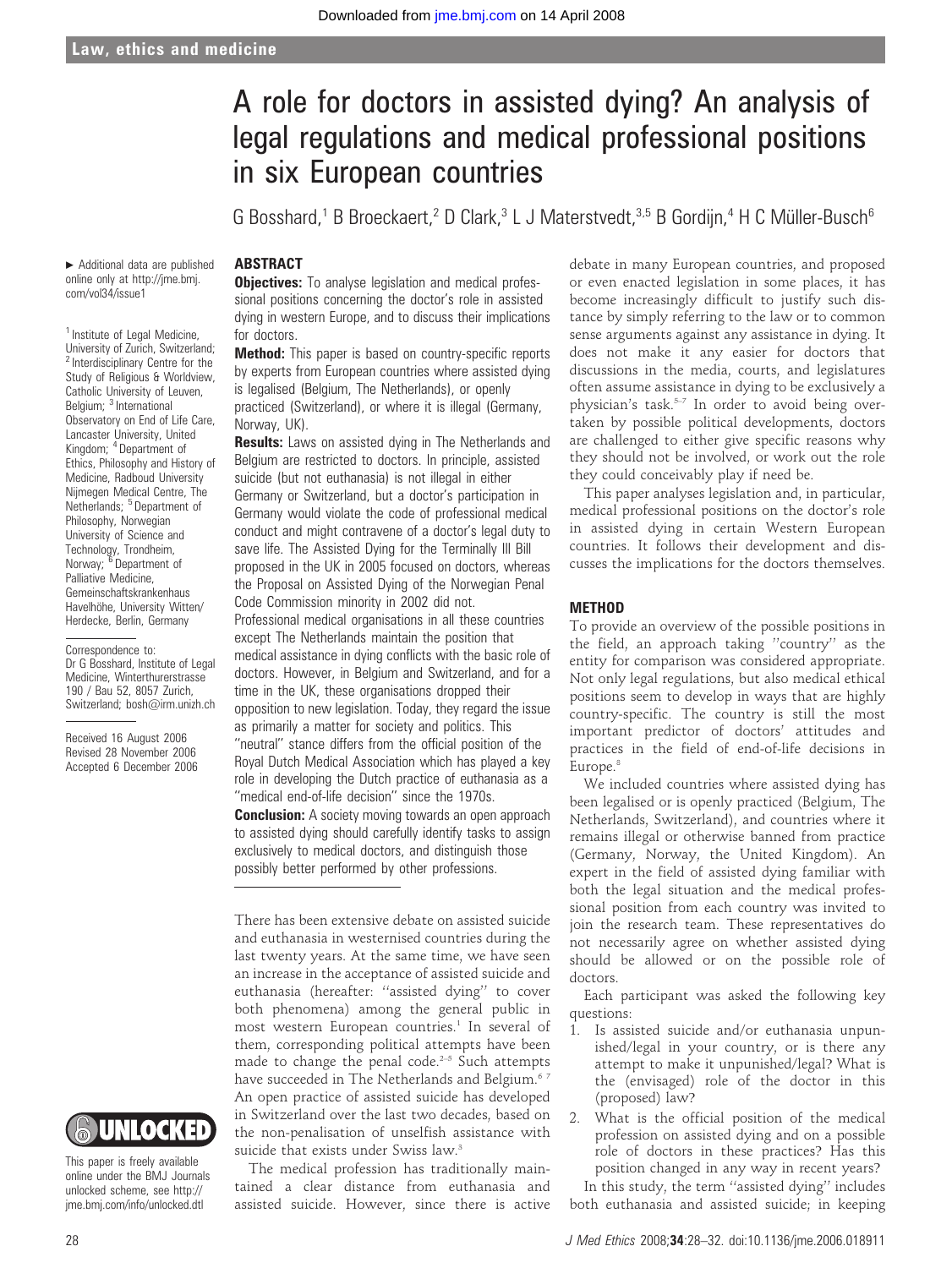# A role for doctors in assisted dying? An analysis of legal regulations and medical professional positions in six European countries

G Bosshard,<sup>1</sup> B Broeckaert,<sup>2</sup> D Clark,<sup>3</sup> L J Materstvedt,<sup>3,5</sup> B Gordiin,<sup>4</sup> H C Müller-Busch<sup>6</sup>

# ABSTRACT

**Objectives:** To analyse legislation and medical professional positions concerning the doctor's role in assisted dying in western Europe, and to discuss their implications for doctors.

**Method:** This paper is based on country-specific reports by experts from European countries where assisted dying is legalised (Belgium, The Netherlands), or openly practiced (Switzerland), or where it is illegal (Germany, Norway, UK).

**Results:** Laws on assisted dying in The Netherlands and Belgium are restricted to doctors. In principle, assisted suicide (but not euthanasia) is not illegal in either Germany or Switzerland, but a doctor's participation in Germany would violate the code of professional medical conduct and might contravene of a doctor's legal duty to save life. The Assisted Dying for the Terminally III Bill proposed in the UK in 2005 focused on doctors, whereas the Proposal on Assisted Dying of the Norwegian Penal Code Commission minority in 2002 did not. Professional medical organisations in all these countries except The Netherlands maintain the position that

medical assistance in dying conflicts with the basic role of doctors. However, in Belgium and Switzerland, and for a time in the UK, these organisations dropped their opposition to new legislation. Today, they regard the issue as primarily a matter for society and politics. This ''neutral'' stance differs from the official position of the Royal Dutch Medical Association which has played a key role in developing the Dutch practice of euthanasia as a "medical end-of-life decision" since the 1970s.

**Conclusion:** A society moving towards an open approach to assisted dying should carefully identify tasks to assign exclusively to medical doctors, and distinguish those possibly better performed by other professions.

There has been extensive debate on assisted suicide and euthanasia in westernised countries during the last twenty years. At the same time, we have seen an increase in the acceptance of assisted suicide and euthanasia (hereafter: ''assisted dying'' to cover both phenomena) among the general public in most western European countries.<sup>1</sup> In several of them, corresponding political attempts have been made to change the penal code.<sup>2-5</sup> Such attempts have succeeded in The Netherlands and Belgium.<sup>67</sup> An open practice of assisted suicide has developed in Switzerland over the last two decades, based on the non-penalisation of unselfish assistance with suicide that exists under Swiss law.<sup>3</sup>

The medical profession has traditionally maintained a clear distance from euthanasia and assisted suicide. However, since there is active debate in many European countries, and proposed or even enacted legislation in some places, it has become increasingly difficult to justify such distance by simply referring to the law or to common sense arguments against any assistance in dying. It does not make it any easier for doctors that discussions in the media, courts, and legislatures often assume assistance in dying to be exclusively a physician's task.5–7 In order to avoid being overtaken by possible political developments, doctors are challenged to either give specific reasons why they should not be involved, or work out the role they could conceivably play if need be.

This paper analyses legislation and, in particular, medical professional positions on the doctor's role in assisted dying in certain Western European countries. It follows their development and discusses the implications for the doctors themselves.

#### METHOD

To provide an overview of the possible positions in the field, an approach taking ''country'' as the entity for comparison was considered appropriate. Not only legal regulations, but also medical ethical positions seem to develop in ways that are highly country-specific. The country is still the most important predictor of doctors' attitudes and practices in the field of end-of-life decisions in Europe.<sup>8</sup>

We included countries where assisted dying has been legalised or is openly practiced (Belgium, The Netherlands, Switzerland), and countries where it remains illegal or otherwise banned from practice (Germany, Norway, the United Kingdom). An expert in the field of assisted dying familiar with both the legal situation and the medical professional position from each country was invited to join the research team. These representatives do not necessarily agree on whether assisted dying should be allowed or on the possible role of doctors.

Each participant was asked the following key questions:

- 1. Is assisted suicide and/or euthanasia unpunished/legal in your country, or is there any attempt to make it unpunished/legal? What is the (envisaged) role of the doctor in this (proposed) law?
- 2. What is the official position of the medical profession on assisted dying and on a possible role of doctors in these practices? Has this position changed in any way in recent years?

In this study, the term ''assisted dying'' includes both euthanasia and assisted suicide; in keeping

online only at http://jme.bmj. com/vol34/issue1 <sup>1</sup> Institute of Legal Medicine,

 $\blacktriangleright$  Additional data are published

University of Zurich, Switzerland; <sup>2</sup> Interdisciplinary Centre for the Study of Religious & Worldview, Catholic University of Leuven, Belgium; <sup>3</sup> International Observatory on End of Life Care, Lancaster University, United Kingdom; <sup>4</sup> Department of Ethics, Philosophy and History of Medicine, Radboud University Nijmegen Medical Centre, The Netherlands; <sup>5</sup> Department of Philosophy, Norwegian University of Science and Technology, Trondheim,<br>Norway; <sup>6</sup> Department of Palliative Medicine, Gemeinschaftskrankenhaus Havelhöhe, University Witten/ Herdecke, Berlin, Germany

Correspondence to: Dr G Bosshard, Institute of Legal Medicine, Winterthurerstrasse 190 / Bau 52, 8057 Zurich, Switzerland; bosh@irm.unizh.ch

Received 16 August 2006 Revised 28 November 2006 Accepted 6 December 2006



This paper is freely available online under the BMJ Journals unlocked scheme, see http:// jme.bmj.com/info/unlocked.dtl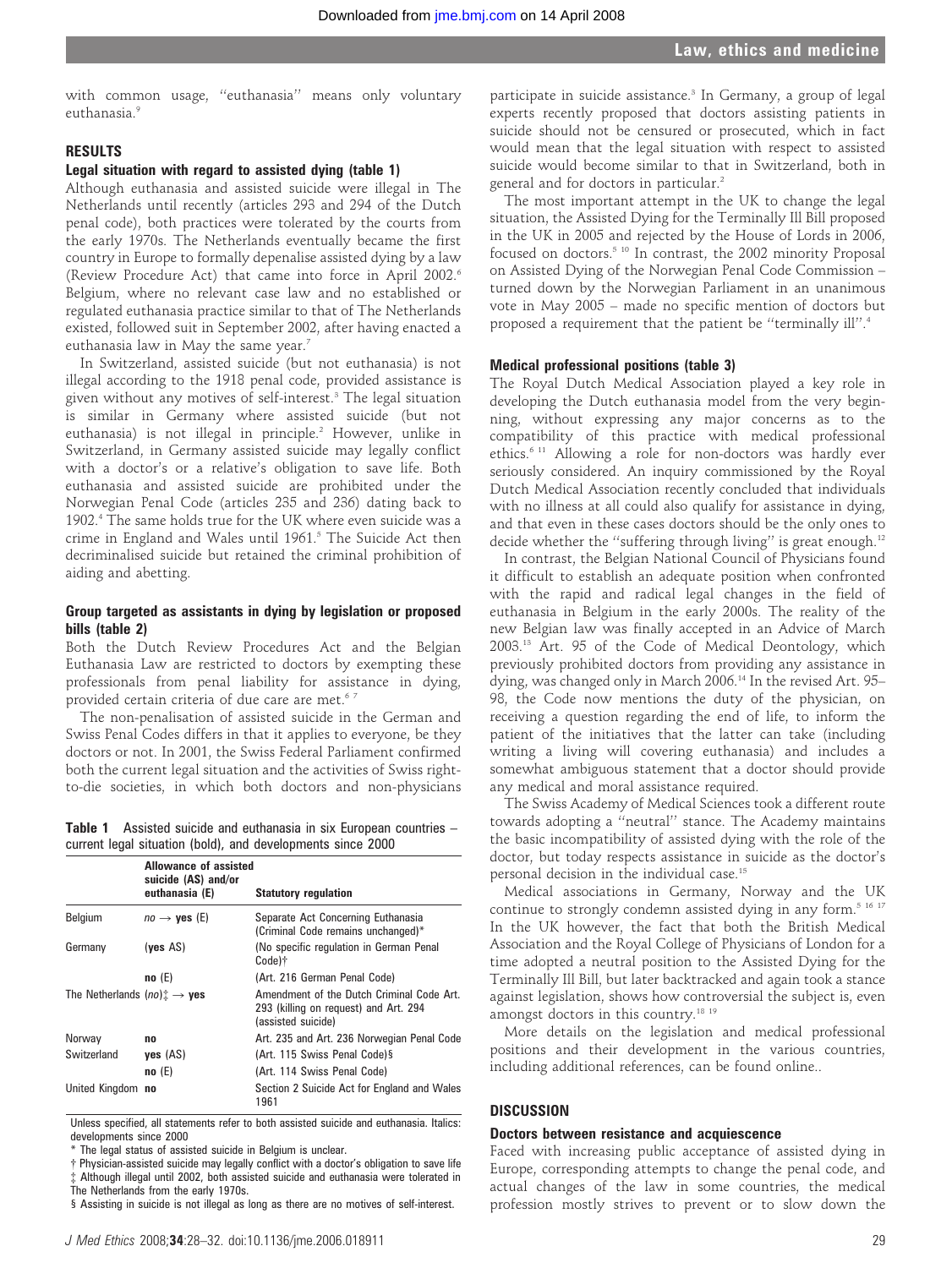with common usage, ''euthanasia'' means only voluntary euthanasia<sup>9</sup>

# RESULTS

# Legal situation with regard to assisted dying (table 1)

Although euthanasia and assisted suicide were illegal in The Netherlands until recently (articles 293 and 294 of the Dutch penal code), both practices were tolerated by the courts from the early 1970s. The Netherlands eventually became the first country in Europe to formally depenalise assisted dying by a law (Review Procedure Act) that came into force in April 2002.6 Belgium, where no relevant case law and no established or regulated euthanasia practice similar to that of The Netherlands existed, followed suit in September 2002, after having enacted a euthanasia law in May the same year.<sup>7</sup>

In Switzerland, assisted suicide (but not euthanasia) is not illegal according to the 1918 penal code, provided assistance is given without any motives of self-interest.<sup>3</sup> The legal situation is similar in Germany where assisted suicide (but not euthanasia) is not illegal in principle.<sup>2</sup> However, unlike in Switzerland, in Germany assisted suicide may legally conflict with a doctor's or a relative's obligation to save life. Both euthanasia and assisted suicide are prohibited under the Norwegian Penal Code (articles 235 and 236) dating back to 1902.4 The same holds true for the UK where even suicide was a crime in England and Wales until 1961.<sup>5</sup> The Suicide Act then decriminalised suicide but retained the criminal prohibition of aiding and abetting.

# Group targeted as assistants in dying by legislation or proposed bills (table 2)

Both the Dutch Review Procedures Act and the Belgian Euthanasia Law are restricted to doctors by exempting these professionals from penal liability for assistance in dying, provided certain criteria of due care are met.<sup>67</sup>

The non-penalisation of assisted suicide in the German and Swiss Penal Codes differs in that it applies to everyone, be they doctors or not. In 2001, the Swiss Federal Parliament confirmed both the current legal situation and the activities of Swiss rightto-die societies, in which both doctors and non-physicians

Table 1 Assisted suicide and euthanasia in six European countries – current legal situation (bold), and developments since 2000

|                                            | Allowance of assisted<br>suicide (AS) and/or |                                                                                                          |
|--------------------------------------------|----------------------------------------------|----------------------------------------------------------------------------------------------------------|
|                                            | euthanasia (E)                               | <b>Statutory regulation</b>                                                                              |
| Belgium                                    | $no \rightarrow$ yes (E)                     | Separate Act Concerning Euthanasia<br>(Criminal Code remains unchanged)*                                 |
| Germany                                    | (yes AS)                                     | (No specific regulation in German Penal<br>Code)†                                                        |
|                                            | no(E)                                        | (Art. 216 German Penal Code)                                                                             |
| The Netherlands $(no)$ : $\rightarrow$ yes |                                              | Amendment of the Dutch Criminal Code Art.<br>293 (killing on request) and Art. 294<br>(assisted suicide) |
| Norway                                     | no                                           | Art. 235 and Art. 236 Norwegian Penal Code                                                               |
| Switzerland                                | ves (AS)                                     | (Art. 115 Swiss Penal Code) §                                                                            |
|                                            | no(E)                                        | (Art. 114 Swiss Penal Code)                                                                              |
| United Kingdom no                          |                                              | Section 2 Suicide Act for England and Wales<br>1961                                                      |

Unless specified, all statements refer to both assisted suicide and euthanasia. Italics: developments since 2000

The legal status of assisted suicide in Belgium is unclear.

{ Physician-assisted suicide may legally conflict with a doctor's obligation to save life Although illegal until 2002, both assisted suicide and euthanasia were tolerated in The Netherlands from the early 1970s.

§ Assisting in suicide is not illegal as long as there are no motives of self-interest.

participate in suicide assistance.<sup>3</sup> In Germany, a group of legal experts recently proposed that doctors assisting patients in suicide should not be censured or prosecuted, which in fact would mean that the legal situation with respect to assisted suicide would become similar to that in Switzerland, both in general and for doctors in particular.<sup>2</sup>

The most important attempt in the UK to change the legal situation, the Assisted Dying for the Terminally Ill Bill proposed in the UK in 2005 and rejected by the House of Lords in 2006, focused on doctors.<sup>5 10</sup> In contrast, the 2002 minority Proposal on Assisted Dying of the Norwegian Penal Code Commission – turned down by the Norwegian Parliament in an unanimous vote in May 2005 – made no specific mention of doctors but proposed a requirement that the patient be ''terminally ill''.4

#### Medical professional positions (table 3)

The Royal Dutch Medical Association played a key role in developing the Dutch euthanasia model from the very beginning, without expressing any major concerns as to the compatibility of this practice with medical professional ethics.6 11 Allowing a role for non-doctors was hardly ever seriously considered. An inquiry commissioned by the Royal Dutch Medical Association recently concluded that individuals with no illness at all could also qualify for assistance in dying, and that even in these cases doctors should be the only ones to decide whether the "suffering through living" is great enough.<sup>12</sup>

In contrast, the Belgian National Council of Physicians found it difficult to establish an adequate position when confronted with the rapid and radical legal changes in the field of euthanasia in Belgium in the early 2000s. The reality of the new Belgian law was finally accepted in an Advice of March 2003.13 Art. 95 of the Code of Medical Deontology, which previously prohibited doctors from providing any assistance in dying, was changed only in March 2006.14 In the revised Art. 95– 98, the Code now mentions the duty of the physician, on receiving a question regarding the end of life, to inform the patient of the initiatives that the latter can take (including writing a living will covering euthanasia) and includes a somewhat ambiguous statement that a doctor should provide any medical and moral assistance required.

The Swiss Academy of Medical Sciences took a different route towards adopting a ''neutral'' stance. The Academy maintains the basic incompatibility of assisted dying with the role of the doctor, but today respects assistance in suicide as the doctor's personal decision in the individual case.<sup>15</sup>

Medical associations in Germany, Norway and the UK continue to strongly condemn assisted dying in any form.<sup>5 16 17</sup> In the UK however, the fact that both the British Medical Association and the Royal College of Physicians of London for a time adopted a neutral position to the Assisted Dying for the Terminally Ill Bill, but later backtracked and again took a stance against legislation, shows how controversial the subject is, even amongst doctors in this country.<sup>18 19</sup>

More details on the legislation and medical professional positions and their development in the various countries, including additional references, can be found online..

### **DISCUSSION**

## Doctors between resistance and acquiescence

Faced with increasing public acceptance of assisted dying in Europe, corresponding attempts to change the penal code, and actual changes of the law in some countries, the medical profession mostly strives to prevent or to slow down the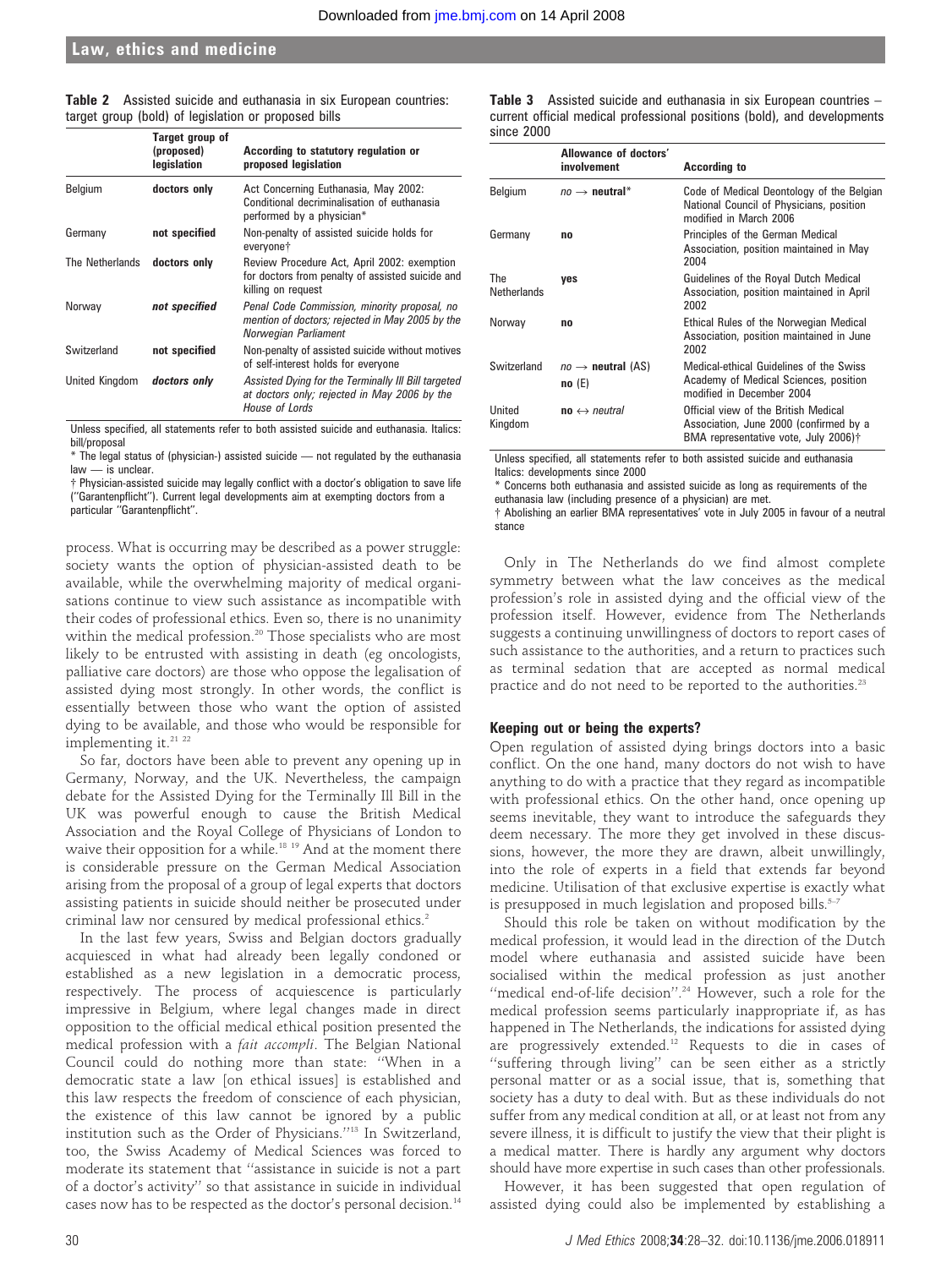# Law, ethics and medicine

|  |  |                                                      |  | <b>Table 2</b> Assisted suicide and euthanasia in six European countries: |
|--|--|------------------------------------------------------|--|---------------------------------------------------------------------------|
|  |  | target group (bold) of legislation or proposed bills |  |                                                                           |

|                              | Target group of<br>(proposed)<br>legislation | According to statutory regulation or<br>proposed legislation                                                            |
|------------------------------|----------------------------------------------|-------------------------------------------------------------------------------------------------------------------------|
| Belgium                      | doctors only                                 | Act Concerning Euthanasia, May 2002:<br>Conditional decriminalisation of euthanasia<br>performed by a physician*        |
| Germany                      | not specified                                | Non-penalty of assisted suicide holds for<br>everyone <sup>+</sup>                                                      |
| The Netherlands doctors only |                                              | Review Procedure Act, April 2002: exemption<br>for doctors from penalty of assisted suicide and<br>killing on reguest   |
| Norway                       | not specified                                | Penal Code Commission, minority proposal, no<br>mention of doctors; rejected in May 2005 by the<br>Norwegian Parliament |
| Switzerland                  | not specified                                | Non-penalty of assisted suicide without motives<br>of self-interest holds for everyone                                  |
| United Kingdom               | doctors only                                 | Assisted Dying for the Terminally III Bill targeted<br>at doctors only; rejected in May 2006 by the<br>House of Lords   |

Unless specified, all statements refer to both assisted suicide and euthanasia. Italics: bill/proposal

\* The legal status of (physician-) assisted suicide — not regulated by the euthanasia law — is unclear.

{ Physician-assisted suicide may legally conflict with a doctor's obligation to save life (''Garantenpflicht''). Current legal developments aim at exempting doctors from a particular ''Garantenpflicht''.

process. What is occurring may be described as a power struggle: society wants the option of physician-assisted death to be available, while the overwhelming majority of medical organisations continue to view such assistance as incompatible with their codes of professional ethics. Even so, there is no unanimity within the medical profession.<sup>20</sup> Those specialists who are most likely to be entrusted with assisting in death (eg oncologists, palliative care doctors) are those who oppose the legalisation of assisted dying most strongly. In other words, the conflict is essentially between those who want the option of assisted dying to be available, and those who would be responsible for implementing it.<sup>21</sup> <sup>22</sup>

So far, doctors have been able to prevent any opening up in Germany, Norway, and the UK. Nevertheless, the campaign debate for the Assisted Dying for the Terminally Ill Bill in the UK was powerful enough to cause the British Medical Association and the Royal College of Physicians of London to waive their opposition for a while.<sup>18 19</sup> And at the moment there is considerable pressure on the German Medical Association arising from the proposal of a group of legal experts that doctors assisting patients in suicide should neither be prosecuted under criminal law nor censured by medical professional ethics.2

In the last few years, Swiss and Belgian doctors gradually acquiesced in what had already been legally condoned or established as a new legislation in a democratic process, respectively. The process of acquiescence is particularly impressive in Belgium, where legal changes made in direct opposition to the official medical ethical position presented the medical profession with a fait accompli. The Belgian National Council could do nothing more than state: ''When in a democratic state a law [on ethical issues] is established and this law respects the freedom of conscience of each physician, the existence of this law cannot be ignored by a public institution such as the Order of Physicians.''13 In Switzerland, too, the Swiss Academy of Medical Sciences was forced to moderate its statement that ''assistance in suicide is not a part of a doctor's activity'' so that assistance in suicide in individual cases now has to be respected as the doctor's personal decision.14

Table 3 Assisted suicide and euthanasia in six European countries current official medical professional positions (bold), and developments since 2000

|                           | Allowance of doctors'<br>involvement   | <b>According to</b>                                                                                                    |
|---------------------------|----------------------------------------|------------------------------------------------------------------------------------------------------------------------|
| <b>Belgium</b>            | $no \rightarrow$ neutral*              | Code of Medical Deontology of the Belgian<br>National Council of Physicians, position<br>modified in March 2006        |
| Germany                   | no                                     | Principles of the German Medical<br>Association, position maintained in May<br>2004                                    |
| The<br><b>Netherlands</b> | ves                                    | Guidelines of the Royal Dutch Medical<br>Association, position maintained in April<br>2002                             |
| Norway                    | no                                     | Ethical Rules of the Norwegian Medical<br>Association, position maintained in June<br>2002                             |
| Switzerland               | $no \rightarrow$ neutral (AS)<br>no(E) | Medical-ethical Guidelines of the Swiss<br>Academy of Medical Sciences, position<br>modified in December 2004          |
| United<br>Kingdom         | $no \leftrightarrow neutral$           | Official view of the British Medical<br>Association, June 2000 (confirmed by a<br>BMA representative vote, July 2006)† |

Unless specified, all statements refer to both assisted suicide and euthanasia Italics: developments since 2000

\* Concerns both euthanasia and assisted suicide as long as requirements of the euthanasia law (including presence of a physician) are met.

{ Abolishing an earlier BMA representatives' vote in July 2005 in favour of a neutral stance

Only in The Netherlands do we find almost complete symmetry between what the law conceives as the medical profession's role in assisted dying and the official view of the profession itself. However, evidence from The Netherlands suggests a continuing unwillingness of doctors to report cases of such assistance to the authorities, and a return to practices such as terminal sedation that are accepted as normal medical practice and do not need to be reported to the authorities.<sup>23</sup>

#### Keeping out or being the experts?

Open regulation of assisted dying brings doctors into a basic conflict. On the one hand, many doctors do not wish to have anything to do with a practice that they regard as incompatible with professional ethics. On the other hand, once opening up seems inevitable, they want to introduce the safeguards they deem necessary. The more they get involved in these discussions, however, the more they are drawn, albeit unwillingly, into the role of experts in a field that extends far beyond medicine. Utilisation of that exclusive expertise is exactly what is presupposed in much legislation and proposed bills. $5-7$ 

Should this role be taken on without modification by the medical profession, it would lead in the direction of the Dutch model where euthanasia and assisted suicide have been socialised within the medical profession as just another "medical end-of-life decision".<sup>24</sup> However, such a role for the medical profession seems particularly inappropriate if, as has happened in The Netherlands, the indications for assisted dying are progressively extended.12 Requests to die in cases of ''suffering through living'' can be seen either as a strictly personal matter or as a social issue, that is, something that society has a duty to deal with. But as these individuals do not suffer from any medical condition at all, or at least not from any severe illness, it is difficult to justify the view that their plight is a medical matter. There is hardly any argument why doctors should have more expertise in such cases than other professionals.

However, it has been suggested that open regulation of assisted dying could also be implemented by establishing a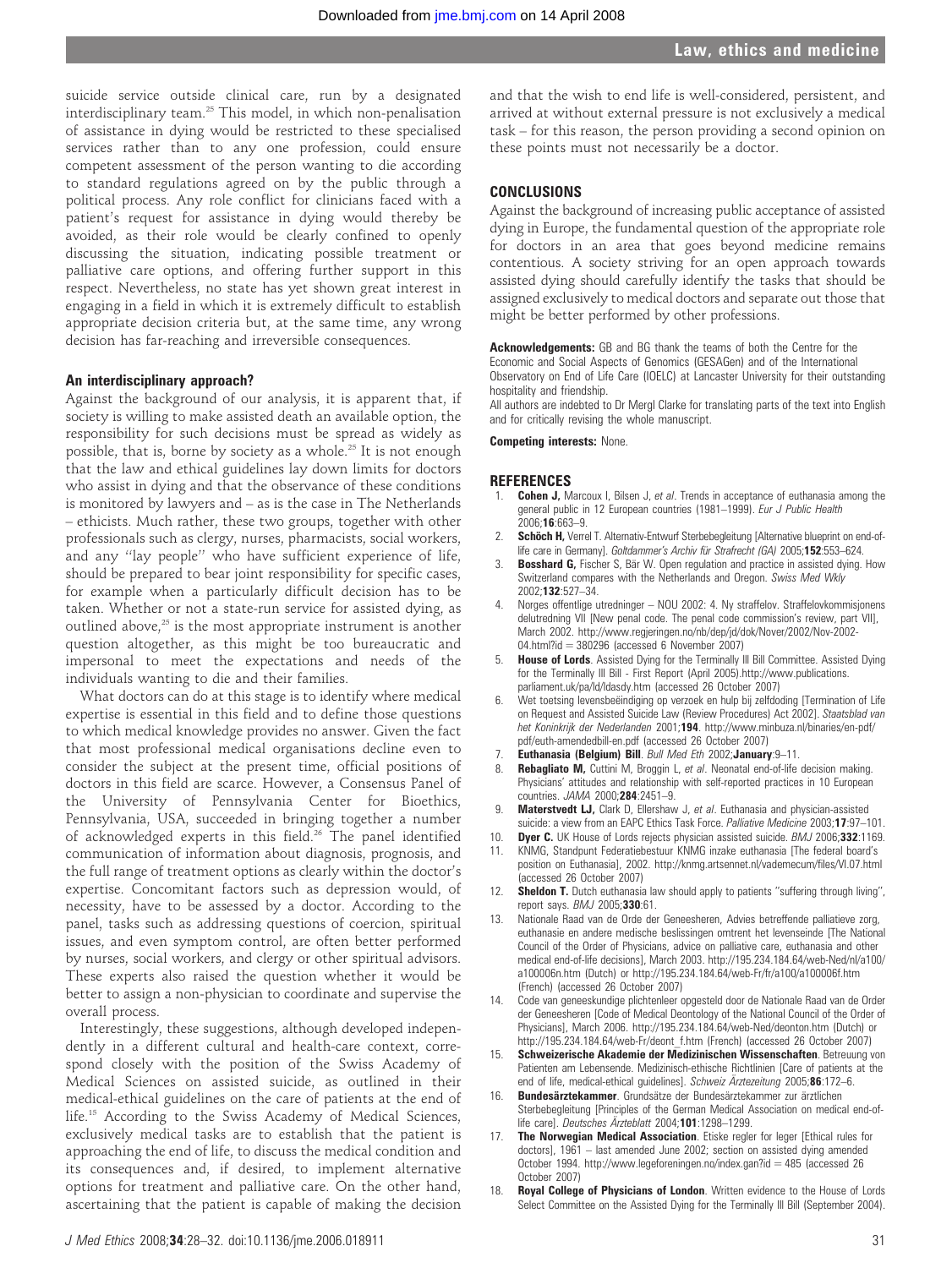suicide service outside clinical care, run by a designated interdisciplinary team.25 This model, in which non-penalisation of assistance in dying would be restricted to these specialised services rather than to any one profession, could ensure competent assessment of the person wanting to die according to standard regulations agreed on by the public through a political process. Any role conflict for clinicians faced with a patient's request for assistance in dying would thereby be avoided, as their role would be clearly confined to openly discussing the situation, indicating possible treatment or palliative care options, and offering further support in this respect. Nevertheless, no state has yet shown great interest in engaging in a field in which it is extremely difficult to establish appropriate decision criteria but, at the same time, any wrong decision has far-reaching and irreversible consequences.

#### An interdisciplinary approach?

Against the background of our analysis, it is apparent that, if society is willing to make assisted death an available option, the responsibility for such decisions must be spread as widely as possible, that is, borne by society as a whole.<sup>25</sup> It is not enough that the law and ethical guidelines lay down limits for doctors who assist in dying and that the observance of these conditions is monitored by lawyers and – as is the case in The Netherlands – ethicists. Much rather, these two groups, together with other professionals such as clergy, nurses, pharmacists, social workers, and any ''lay people'' who have sufficient experience of life, should be prepared to bear joint responsibility for specific cases, for example when a particularly difficult decision has to be taken. Whether or not a state-run service for assisted dying, as outlined above, $25$  is the most appropriate instrument is another question altogether, as this might be too bureaucratic and impersonal to meet the expectations and needs of the individuals wanting to die and their families.

What doctors can do at this stage is to identify where medical expertise is essential in this field and to define those questions to which medical knowledge provides no answer. Given the fact that most professional medical organisations decline even to consider the subject at the present time, official positions of doctors in this field are scarce. However, a Consensus Panel of the University of Pennsylvania Center for Bioethics, Pennsylvania, USA, succeeded in bringing together a number of acknowledged experts in this field.<sup>26</sup> The panel identified communication of information about diagnosis, prognosis, and the full range of treatment options as clearly within the doctor's expertise. Concomitant factors such as depression would, of necessity, have to be assessed by a doctor. According to the panel, tasks such as addressing questions of coercion, spiritual issues, and even symptom control, are often better performed by nurses, social workers, and clergy or other spiritual advisors. These experts also raised the question whether it would be better to assign a non-physician to coordinate and supervise the overall process.

Interestingly, these suggestions, although developed independently in a different cultural and health-care context, correspond closely with the position of the Swiss Academy of Medical Sciences on assisted suicide, as outlined in their medical-ethical guidelines on the care of patients at the end of life.15 According to the Swiss Academy of Medical Sciences, exclusively medical tasks are to establish that the patient is approaching the end of life, to discuss the medical condition and its consequences and, if desired, to implement alternative options for treatment and palliative care. On the other hand, ascertaining that the patient is capable of making the decision

and that the wish to end life is well-considered, persistent, and arrived at without external pressure is not exclusively a medical task – for this reason, the person providing a second opinion on these points must not necessarily be a doctor.

# **CONCLUSIONS**

Against the background of increasing public acceptance of assisted dying in Europe, the fundamental question of the appropriate role for doctors in an area that goes beyond medicine remains contentious. A society striving for an open approach towards assisted dying should carefully identify the tasks that should be assigned exclusively to medical doctors and separate out those that might be better performed by other professions.

Acknowledgements: GB and BG thank the teams of both the Centre for the Economic and Social Aspects of Genomics (GESAGen) and of the International Observatory on End of Life Care (IOELC) at Lancaster University for their outstanding hospitality and friendship.

All authors are indebted to Dr Mergl Clarke for translating parts of the text into English and for critically revising the whole manuscript.

Competing interests: None.

#### **REFERENCES**

- 1. **Cohen J,** Marcoux I, Bilsen J, et al. Trends in acceptance of euthanasia among the general public in 12 European countries (1981-1999). Eur J Public Health 2006;16:663–9.
- Schöch H, Verrel T. Alternativ-Entwurf Sterbebegleitung [Alternative blueprint on end-oflife care in Germany]. Goltdammer's Archiv für Strafrecht (GA) 2005;152:553-624.
- **Bosshard G, Fischer S, Bär W. Open regulation and practice in assisted dying. How** Switzerland compares with the Netherlands and Oregon. Swiss Med Wkly 2002;132:527–34.
- 4. Norges offentlige utredninger NOU 2002: 4. Ny straffelov. Straffelovkommisjonens delutredning VII [New penal code. The penal code commission's review, part VII], March 2002. http://www.regjeringen.no/nb/dep/jd/dok/Nover/2002/Nov-2002- 04.html?id = 380296 (accessed 6 November 2007)
- **House of Lords**. Assisted Dying for the Terminally III Bill Committee. Assisted Dying for the Terminally Ill Bill - First Report (April 2005).http://www.publications. parliament.uk/pa/ld/ldasdy.htm (accessed 26 October 2007)
- 6. Wet toetsing levensbeëindiging op verzoek en hulp bij zelfdoding [Termination of Life on Request and Assisted Suicide Law (Review Procedures) Act 2002]. Staatsblad van het Koninkrijk der Nederlanden 2001;194. http://www.minbuza.nl/binaries/en-pdf/ pdf/euth-amendedbill-en.pdf (accessed 26 October 2007)
- 7. Euthanasia (Belgium) Bill. Bull Med Eth 2002;January:9–11.
- Rebagliato M, Cuttini M, Broggin L, et al. Neonatal end-of-life decision making. Physicians' attitudes and relationship with self-reported practices in 10 European countries. JAMA 2000;284:2451–9.
- 9. Materstvedt LJ, Clark D, Ellershaw J, et al. Euthanasia and physician-assisted suicide: a view from an EAPC Ethics Task Force. Palliative Medicine 2003;17:97-101.
- 10. **Dyer C.** UK House of Lords rejects physician assisted suicide. BMJ 2006;332:1169. 11. KNMG, Standpunt Federatiebestuur KNMG inzake euthanasia [The federal board's position on Euthanasia], 2002. http://knmg.artsennet.nl/vademecum/files/VI.07.html
- (accessed 26 October 2007) **Sheldon T.** Dutch euthanasia law should apply to patients "suffering through living", report says. **BMJ** 2005; **330**:61.
- 13. Nationale Raad van de Orde der Geneesheren, Advies betreffende palliatieve zorg, euthanasie en andere medische beslissingen omtrent het levenseinde [The National Council of the Order of Physicians, advice on palliative care, euthanasia and other medical end-of-life decisions], March 2003. http://195.234.184.64/web-Ned/nl/a100/ a100006n.htm (Dutch) or http://195.234.184.64/web-Fr/fr/a100/a100006f.htm (French) (accessed 26 October 2007)
- 14. Code van geneeskundige plichtenleer opgesteld door de Nationale Raad van de Order der Geneesheren [Code of Medical Deontology of the National Council of the Order of Physicians], March 2006. http://195.234.184.64/web-Ned/deonton.htm (Dutch) or http://195.234.184.64/web-Fr/deont\_f.htm (French) (accessed 26 October 2007)
- 15. Schweizerische Akademie der Medizinischen Wissenschaften. Betreuung von Patienten am Lebensende. Medizinisch-ethische Richtlinien [Care of patients at the end of life, medical-ethical guidelines]. Schweiz Ärztezeitung 2005;86:172-6.
- 16. Bundesärztekammer. Grundsätze der Bundesärztekammer zur ärztlichen Sterbebegleitung [Principles of the German Medical Association on medical end-oflife care]. Deutsches Ärzteblatt 2004;101:1298-1299.
- 17. The Norwegian Medical Association. Etiske regler for leger [Ethical rules for doctors], 1961 – last amended June 2002; section on assisted dying amended October 1994. http://www.legeforeningen.no/index.gan?id = 485 (accessed 26 October 2007)
- 18. Royal College of Physicians of London. Written evidence to the House of Lords Select Committee on the Assisted Dying for the Terminally Ill Bill (September 2004).